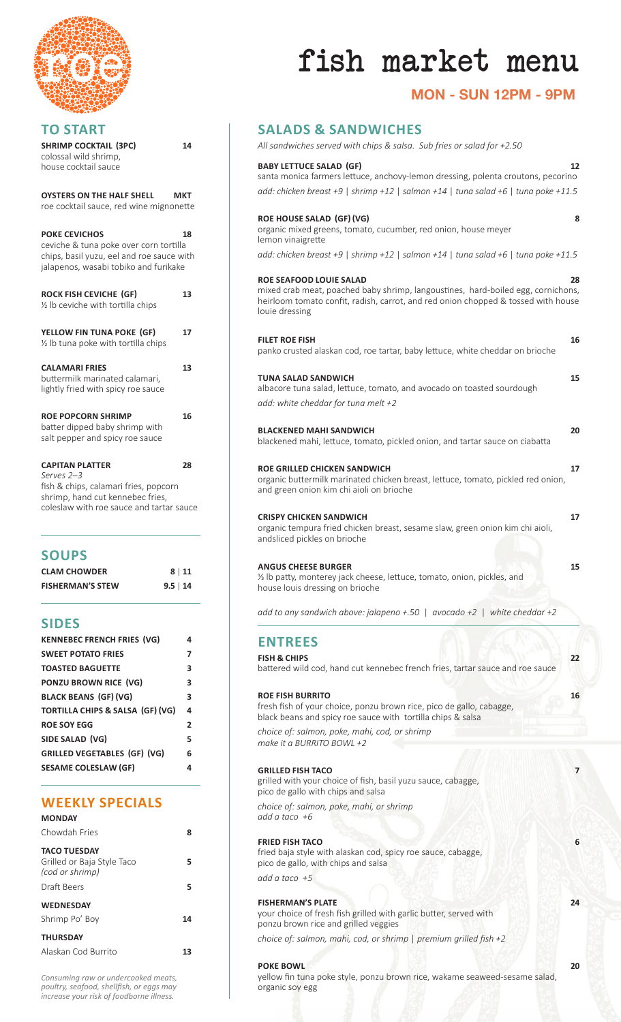

| <b>TO START</b>                                                                                                                                      |            |
|------------------------------------------------------------------------------------------------------------------------------------------------------|------------|
| <b>SHRIMP COCKTAIL (3PC)</b><br>colossal wild shrimp,<br>house cocktail sauce                                                                        | 14         |
| <b>OYSTERS ON THE HALF SHELL</b><br>roe cocktail sauce, red wine mignonette                                                                          | <b>MKT</b> |
| <b>POKE CEVICHOS</b><br>ceviche & tuna poke over corn tortilla<br>chips, basil yuzu, eel and roe sauce with<br>jalapenos, wasabi tobiko and furikake | 18         |
| <b>ROCK FISH CEVICHE (GF)</b><br>1/2 lb ceviche with tortilla chips                                                                                  | 13         |
| YELLOW FIN TUNA POKE (GF)<br>1/2 lb tuna poke with tortilla chips                                                                                    | 17         |
| <b>CALAMARI FRIES</b><br>buttermilk marinated calamari,<br>lightly fried with spicy roe sauce                                                        | 13         |
| <b>ROE POPCORN SHRIMP</b><br>batter dipped baby shrimp with<br>salt pepper and spicy roe sauce                                                       | 16         |
| <b>CAPITAN PLATTER</b><br>Serves <sub>2-3</sub><br>fish & chips, calamari fries, popcorn<br>chrimn hand cut kannahac fries                           | 28         |

p. hand cut kennebec fries coleslaw with roe sauce and tartar sauce

# **SOUPS**

| <b>CLAM CHOWDER</b>     | 8 11          |
|-------------------------|---------------|
| <b>FISHERMAN'S STEW</b> | $9.5 \mid 14$ |

## **SIDES**

| <b>KENNEBEC FRENCH FRIES (VG)</b>           | 4              |
|---------------------------------------------|----------------|
| <b>SWEET POTATO FRIES</b>                   | 7              |
| <b>TOASTED BAGUETTE</b>                     | 3              |
| <b>PONZU BROWN RICE (VG)</b>                | 3              |
| <b>BLACK BEANS (GF) (VG)</b>                | 3              |
| <b>TORTILLA CHIPS &amp; SALSA (GF) (VG)</b> | 4              |
| <b>ROE SOY EGG</b>                          | $\overline{2}$ |
| SIDE SALAD (VG)                             | 5              |
| GRILLED VEGETABLES (GF) (VG)                | 6              |
| <b>SESAME COLESLAW (GF)</b>                 | 4              |

# **WEEKLY SPECIALS**

| <b>MONDAY</b>                                                        |    |
|----------------------------------------------------------------------|----|
| Chowdah Fries                                                        | 8  |
| <b>TACO TUESDAY</b><br>Grilled or Baja Style Taco<br>(cod or shrimp) | 5  |
| Draft Beers                                                          | 5  |
| <b>WEDNESDAY</b>                                                     |    |
| Shrimp Po' Boy                                                       | 14 |
| <b>THURSDAY</b>                                                      |    |
| Alaskan Cod Burrito                                                  | 13 |

fish market menu

# **MON - SUN 12PM - 9PM**

# **SALADS & SANDWICHES**

#### **BABY LETTUCE SALAD (GF) 12**

| santa monica farmers lettuce, anchovy-lemon dressing, polenta croutons, pecorino   |
|------------------------------------------------------------------------------------|
| add: chicken breast +9   shrimp +12   salmon +14   tuna salad +6   tuna poke +11.5 |

#### **ROE HOUSE SALAD (GF) (VG) 8**

| organic mixed greens, tomato, cucumber, red onion, house meyer                     |
|------------------------------------------------------------------------------------|
| lemon vinaigrette                                                                  |
| add: chicken breast +9   shrimp +12   salmon +14   tuna salad +6   tuna poke +11.5 |

#### **ROE SEAFOOD LOUIE SALAD 28**

mixed crab meat, poached baby shrimp, langoustines, hard-boiled egg, cornichons, heirloom tomato confit, radish, carrot, and red onion chopped & tossed with house louie dressing

### **FILET ROE FISH 16**

|  |  |  |  | panko crusted alaskan cod, roe tartar, baby lettuce, white cheddar on brioche |  |  |
|--|--|--|--|-------------------------------------------------------------------------------|--|--|
|  |  |  |  |                                                                               |  |  |
|  |  |  |  |                                                                               |  |  |

# **TUNA SALAD SANDWICH 15**

albacore tuna salad, lettuce, tomato, and avocado on toasted sourdough *add: white cheddar for tuna melt +2*

#### **BLACKENED MAHI SANDWICH 20**

| blackened mahi, lettuce, tomato, pickled onion, and tartar sauce on ciabatta |  |
|------------------------------------------------------------------------------|--|

#### **ROE GRILLED CHICKEN SANDWICH 17**

organic buttermilk marinated chicken breast, lettuce, tomato, pickled red onion, and green onion kim chi aioli on brioche

#### **CRISPY CHICKEN SANDWICH 17**

organic tempura fried chicken breast, sesame slaw, green onion kim chi aioli, andsliced pickles on brioche

#### **ANGUS CHEESE BURGER 15 15**

1/3 lb patty, monterey jack cheese, lettuce, tomato, onion, pickles, and house louis dressing on brioche

*add to any sandwich above: jalapeno +.50* | *avocado +2* | *white cheddar +2*

## **ENTREES**

**FISH & CHIPS 22** battered wild cod, hand cut kennebec french fries, tartar sauce and roe sauce

#### **ROE FISH BURRITO 16**

fresh fish of your choice, ponzu brown rice, pico de gallo, cabagge, black beans and spicy roe sauce with tortilla chips & salsa

*choice of: salmon, poke, mahi, cod, or shrimp make it a BURRITO BOWL +2*

#### **GRILLED FISH TACO 7**

grilled with your choice of fish, basil yuzu sauce, cabagge, pico de gallo with chips and salsa

*choice of: salmon, poke, mahi, or shrimp add a taco +6*

#### **FRIED FISH TACO 6**

fried baja style with alaskan cod, spicy roe sauce, cabagge, pico de gallo, with chips and salsa

*add a taco +5*

#### **FISHERMAN'S PLATE 24**

your choice of fresh fish grilled with garlic butter, served with ponzu brown rice and grilled veggies

*choice of: salmon, mahi, cod, or shrimp* | *premium grilled fish +2*

#### **POKE BOWL 20 20**

yellow fin tuna poke style, ponzu brown rice, wakame seaweed-sesame salad, organic soy egg

*Consuming raw or undercooked meats, poultry, seafood, shellfish, or eggs may increase your risk of foodborne illness.*

|     | 3 |  |
|-----|---|--|
| VG) | 4 |  |
|     | 2 |  |